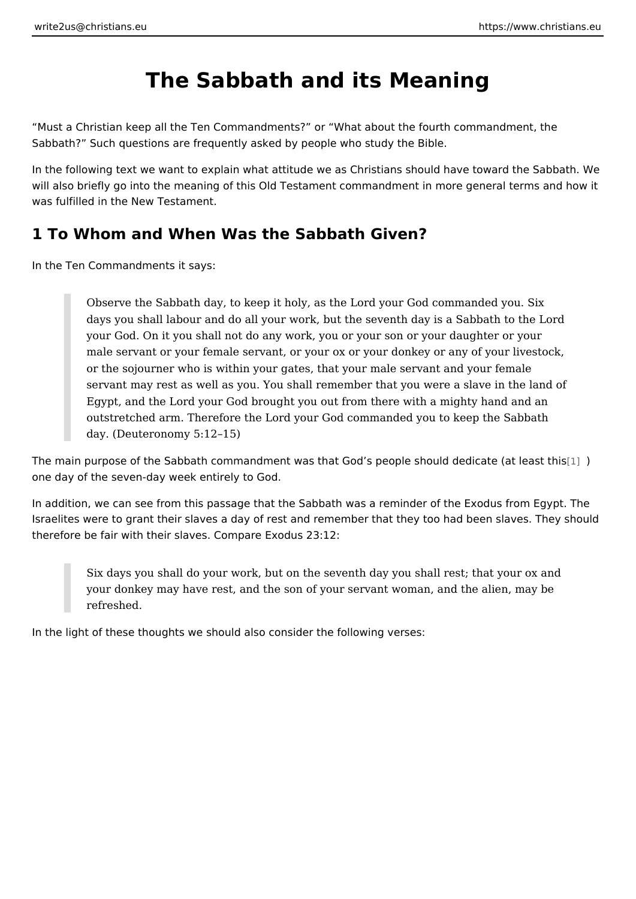# The Sabbath and its Meaning

Must a Christian keep all the Ten Commandments? or What about the fourth co Sabbath? Such questions are frequently asked by people who study the Bible.

In the following text we want to explain what attitude we as Christians should ha will also briefly go into the meaning of this Old Testament commandment in more was fulfilled in the New Testament.

#### 1 To Whom and When Was the Sabbath Given?

In the Ten Commandments it says:

Observe the Sabbath day, to keep it holy, as the Lord your God comman days you shall labour and do all your work, but the seventh day is a Sal your God. On it you shall not do any work, you or your son or your daug male servant or your female servant, or your ox or your donkey or any c or the sojourner who is within your gates, that your male servant and your servant may rest as well as you. You shall remember that you were a sl Egypt, and the Lord your God brought you out from there with a mighty outstretched arm. Therefore the Lord your God commanded you to keep day. (Deuteronomy 5:12 15)

The main purpose of the Sabbath commandment was that God s people [sho](#page-8-0)uld de one day of the seven-day week entirely to God.

In addition, we can see from this passage that the Sabbath was a reminder of th Israelites were to grant their slaves a day of rest and remember that they too ha therefore be fair with their slaves. Compare Exodus 23:12:

Six days you shall do your work, but on the seventh day you shall rest; your donkey may have rest, and the son of your servant woman, and the refreshed.

In the light of these thoughts we should also consider the following verses: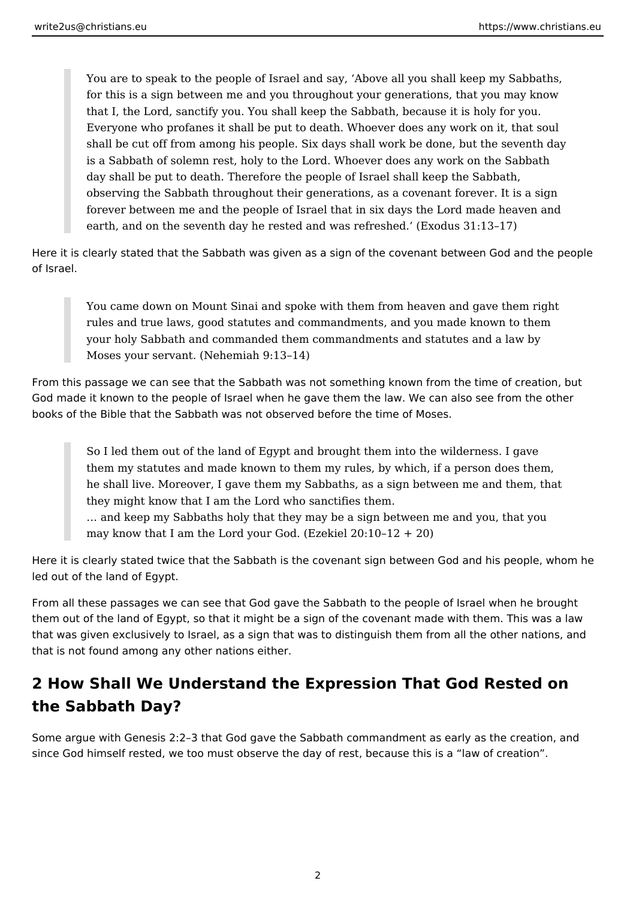You are to speak to the people of Israel and say, 'Above all you shall keep my Sabbaths, for this is a sign between me and you throughout your generations, that you may know that I, the Lord, sanctify you. You shall keep the Sabbath, because it is holy for you. Everyone who profanes it shall be put to death. Whoever does any work on it, that soul shall be cut off from among his people. Six days shall work be done, but the seventh day is a Sabbath of solemn rest, holy to the Lord. Whoever does any work on the Sabbath day shall be put to death. Therefore the people of Israel shall keep the Sabbath, observing the Sabbath throughout their generations, as a covenant forever. It is a sign forever between me and the people of Israel that in six days the Lord made heaven and earth, and on the seventh day he rested and was refreshed.' (Exodus 31:13–17)

Here it is clearly stated that the Sabbath was given as a sign of the covenant between God and the people of Israel.

You came down on Mount Sinai and spoke with them from heaven and gave them right rules and true laws, good statutes and commandments, and you made known to them your holy Sabbath and commanded them commandments and statutes and a law by Moses your servant. (Nehemiah 9:13–14)

From this passage we can see that the Sabbath was not something known from the time of creation, but God made it known to the people of Israel when he gave them the law. We can also see from the other books of the Bible that the Sabbath was not observed before the time of Moses.

So I led them out of the land of Egypt and brought them into the wilderness. I gave them my statutes and made known to them my rules, by which, if a person does them, he shall live. Moreover, I gave them my Sabbaths, as a sign between me and them, that they might know that I am the Lord who sanctifies them.

… and keep my Sabbaths holy that they may be a sign between me and you, that you may know that I am the Lord your God. (Ezekiel  $20:10-12 + 20$ )

Here it is clearly stated twice that the Sabbath is the covenant sign between God and his people, whom he led out of the land of Egypt.

From all these passages we can see that God gave the Sabbath to the people of Israel when he brought them out of the land of Egypt, so that it might be a sign of the covenant made with them. This was a law that was given exclusively to Israel, as a sign that was to distinguish them from all the other nations, and that is not found among any other nations either.

## **2 How Shall We Understand the Expression That God Rested on the Sabbath Day?**

Some argue with Genesis 2:2–3 that God gave the Sabbath commandment as early as the creation, and since God himself rested, we too must observe the day of rest, because this is a "law of creation".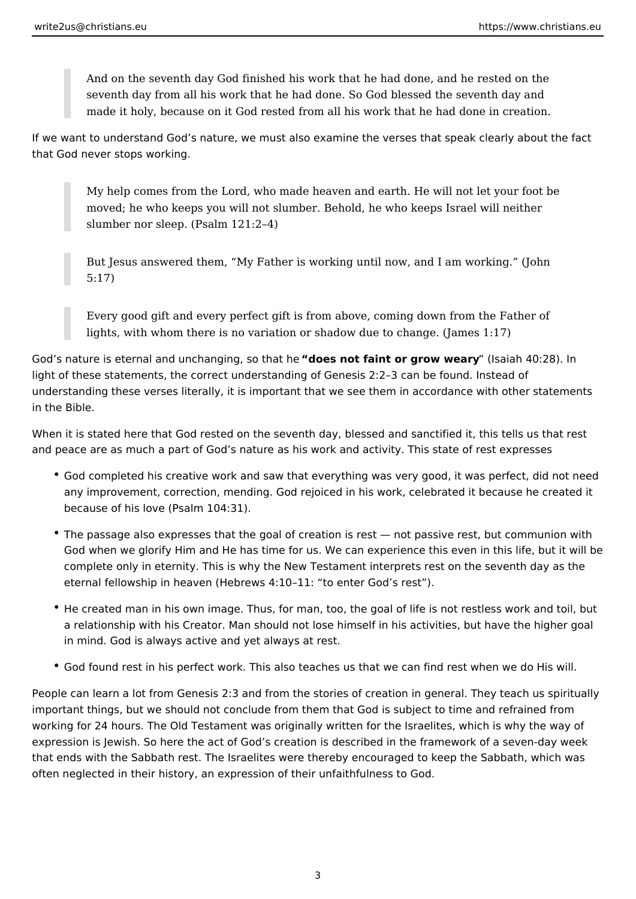And on the seventh day God finished his work that he had done, and he rested on the seventh day from all his work that he had done. So God blessed the seventh day and made it holy, because on it God rested from all his work that he had done in creation.

If we want to understand God's nature, we must also examine the verses that speak clearly about the fact that God never stops working.

My help comes from the Lord, who made heaven and earth. He will not let your foot be moved; he who keeps you will not slumber. Behold, he who keeps Israel will neither slumber nor sleep. (Psalm 121:2–4)

But Jesus answered them, "My Father is working until now, and I am working." (John 5:17)

Every good gift and every perfect gift is from above, coming down from the Father of lights, with whom there is no variation or shadow due to change. (James 1:17)

God's nature is eternal and unchanging, so that he **"does not faint or grow weary**" (Isaiah 40:28). In light of these statements, the correct understanding of Genesis 2:2–3 can be found. Instead of understanding these verses literally, it is important that we see them in accordance with other statements in the Bible.

When it is stated here that God rested on the seventh day, blessed and sanctified it, this tells us that rest and peace are as much a part of God's nature as his work and activity. This state of rest expresses

- God completed his creative work and saw that everything was very good, it was perfect, did not need any improvement, correction, mending. God rejoiced in his work, celebrated it because he created it because of his love (Psalm 104:31).
- The passage also expresses that the goal of creation is rest not passive rest, but communion with God when we glorify Him and He has time for us. We can experience this even in this life, but it will be complete only in eternity. This is why the New Testament interprets rest on the seventh day as the eternal fellowship in heaven (Hebrews 4:10–11: "to enter God's rest").
- He created man in his own image. Thus, for man, too, the goal of life is not restless work and toil, but a relationship with his Creator. Man should not lose himself in his activities, but have the higher goal in mind. God is always active and yet always at rest.
- God found rest in his perfect work. This also teaches us that we can find rest when we do His will.

People can learn a lot from Genesis 2:3 and from the stories of creation in general. They teach us spiritually important things, but we should not conclude from them that God is subject to time and refrained from working for 24 hours. The Old Testament was originally written for the Israelites, which is why the way of expression is Jewish. So here the act of God's creation is described in the framework of a seven-day week that ends with the Sabbath rest. The Israelites were thereby encouraged to keep the Sabbath, which was often neglected in their history, an expression of their unfaithfulness to God.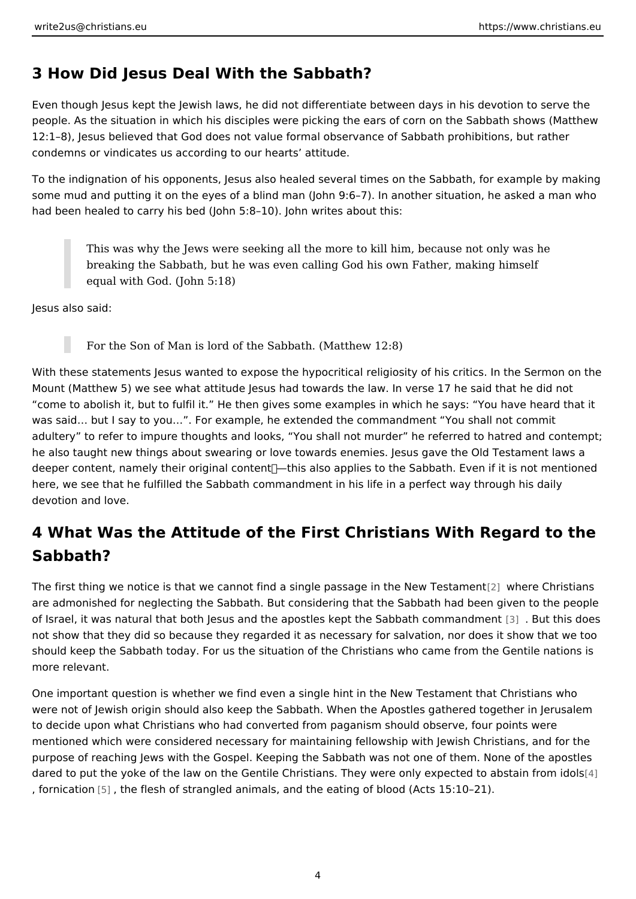#### 3 How Did Jesus Deal With the Sabbath?

Even though Jesus kept the Jewish laws, he did not differentiate between days i people. As the situation in which his disciples were picking the ears of corn on t 12:1 8), Jesus believed that God does not value formal observance of Sabbath p condemns or vindicates us according to our hearts attitude.

To the indignation of his opponents, Jesus also healed several times on the Sab some mud and putting it on the eyes of a blind man (John 9:6 7). In another situ had been healed to carry his bed (John 5:8 10). John writes about this:

This was why the Jews were seeking all the more to kill him, because  $n_1$ breaking the Sabbath, but he was even calling God his own Father, mak equal with God. (John 5:18)

Jesus also said:

For the Son of Man is lord of the Sabbath. (Matthew 12:8)

With these statements Jesus wanted to expose the hypocritical religiosity of his Mount (Matthew 5) we see what attitude Jesus had towards the law. In verse 17 come to abolish it, but to fulfil it. He then gives some examples in which he sa was said & but I say to you & . For example, he extended the commandment You s adultery to refer to impure thoughts and looks, You shall not murder he referr he also taught new things about swearing or love towards enemies. Jesus gave t deeper content, namely their original content• this also applies to the Sabbath. here, we see that he fulfilled the Sabbath commandment in his life in a perfect v devotion and love.

### 4 What Was the Attitude of the First Christians With Reg Sabbath?

The first thing we notice is that we cannot find a single pass  $p$  gew hne nteh eC Ninei wat Teanssi are admonished for neglecting the Sabbath. But considering that the Sabbath had of Israel, it was natural that both Jesus and [the](#page-8-0) apostles kept the Sabbath is comment not show that they did so because they regarded it as necessary for salvation, n should keep the Sabbath today. For us the situation of the Christians who came more relevant.

One important question is whether we find even a single hint in the New Testame were not of Jewish origin should also keep the Sabbath. When the Apostles gath to decide upon what Christians who had converted from paganism should observe mentioned which were considered necessary for maintaining fellowship with Jewi purpose of reaching Jews with the Gospel. Keeping the Sabbath was not one of t dared to put the yoke of the law on the Gentile Christians. They were only pexped , fornicatßon the flesh of strangled animals, and the eating of blood (Acts 15:10 2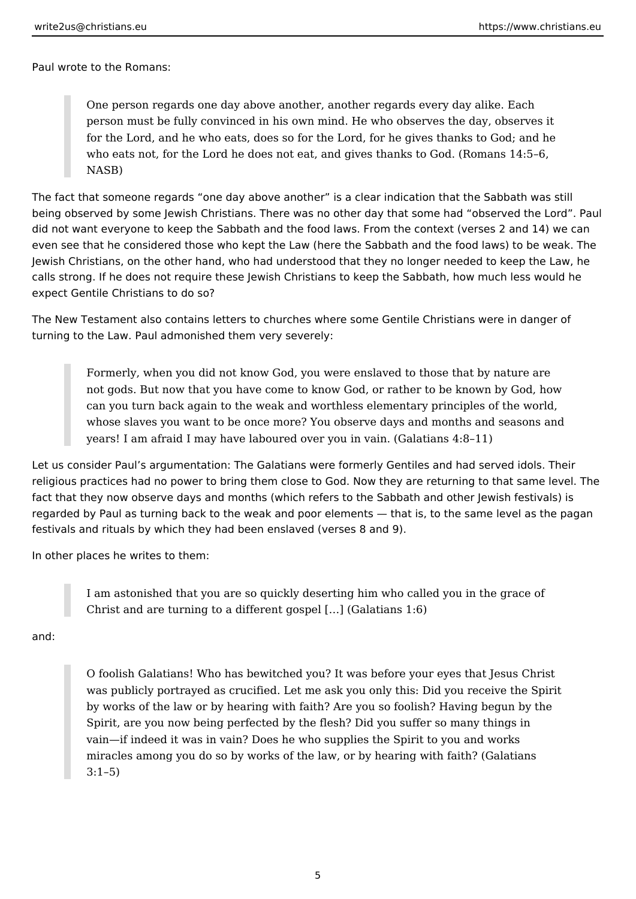Paul wrote to the Romans:

One person regards one day above another, another regards every day alike. Each person must be fully convinced in his own mind. He who observes the day, observes it for the Lord, and he who eats, does so for the Lord, for he gives thanks to God; and he who eats not, for the Lord he does not eat, and gives thanks to God. (Romans 14:5–6, NASB)

The fact that someone regards "one day above another" is a clear indication that the Sabbath was still being observed by some Jewish Christians. There was no other day that some had "observed the Lord". Paul did not want everyone to keep the Sabbath and the food laws. From the context (verses 2 and 14) we can even see that he considered those who kept the Law (here the Sabbath and the food laws) to be weak. The Jewish Christians, on the other hand, who had understood that they no longer needed to keep the Law, he calls strong. If he does not require these Jewish Christians to keep the Sabbath, how much less would he expect Gentile Christians to do so?

The New Testament also contains letters to churches where some Gentile Christians were in danger of turning to the Law. Paul admonished them very severely:

Formerly, when you did not know God, you were enslaved to those that by nature are not gods. But now that you have come to know God, or rather to be known by God, how can you turn back again to the weak and worthless elementary principles of the world, whose slaves you want to be once more? You observe days and months and seasons and years! I am afraid I may have laboured over you in vain. (Galatians 4:8–11)

Let us consider Paul's argumentation: The Galatians were formerly Gentiles and had served idols. Their religious practices had no power to bring them close to God. Now they are returning to that same level. The fact that they now observe days and months (which refers to the Sabbath and other Jewish festivals) is regarded by Paul as turning back to the weak and poor elements — that is, to the same level as the pagan festivals and rituals by which they had been enslaved (verses 8 and 9).

In other places he writes to them:

I am astonished that you are so quickly deserting him who called you in the grace of Christ and are turning to a different gospel […] (Galatians 1:6)

and:

O foolish Galatians! Who has bewitched you? It was before your eyes that Jesus Christ was publicly portrayed as crucified. Let me ask you only this: Did you receive the Spirit by works of the law or by hearing with faith? Are you so foolish? Having begun by the Spirit, are you now being perfected by the flesh? Did you suffer so many things in vain—if indeed it was in vain? Does he who supplies the Spirit to you and works miracles among you do so by works of the law, or by hearing with faith? (Galatians 3:1–5)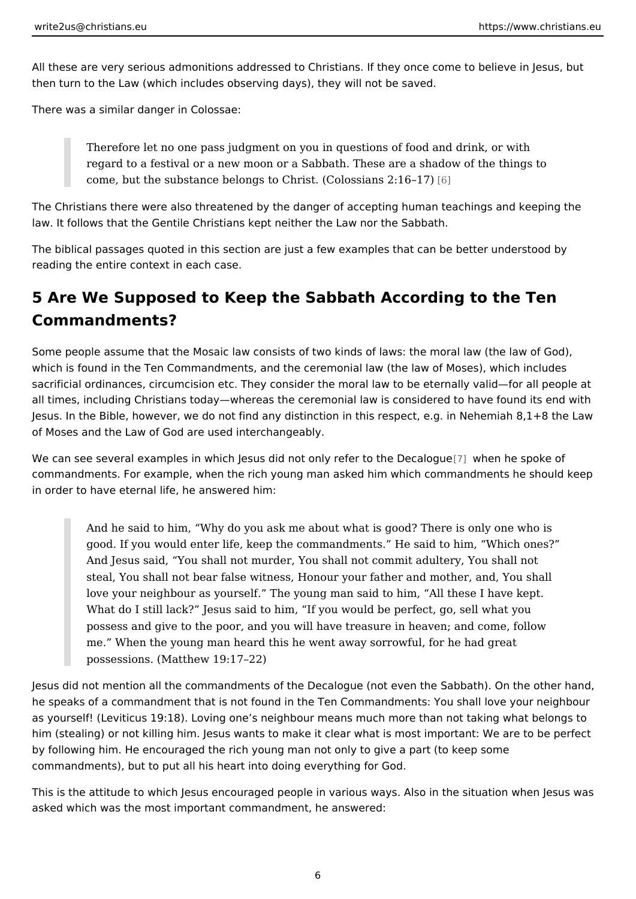All these are very serious admonitions addressed to Christians. If they once com then turn to the Law (which includes observing days), they will not be saved.

There was a similar danger in Colossae:

Therefore let no one pass judgment on you in questions of food and drin regard to a festival or a new moon or a Sabbath. These are a shadow of come, but the substance belongs to Christ. (C $\phi$ ) ossians 2:16 17)

The Christians there were also threatened by the danger of accepting human tea law. It follows that the Gentile Christians kept neither the Law nor the Sabbath.

The biblical passages quoted in this section are just a few examples that can be reading the entire context in each case.

### 5 Are We Supposed to Keep the Sabbath According to the Commandments?

Some people assume that the Mosaic law consists of two kinds of laws: the mora which is found in the Ten Commandments, and the ceremonial law (the law of Mo sacrificial ordinances, circumcision etc. They consider the moral law to be etern all times, including Christians today whereas the ceremonial law is considered to Jesus. In the Bible, however, we do not find any distinction in this respect, e.g. of Moses and the Law of God are used interchangeably.

We can see several examples in which Jesus did not on[ly r](#page-8-0)ewisent on the post ad b que commandments. For example, when the rich young man asked him which command in order to have eternal life, he answered him:

And he said to him, Why do you ask me about what is good? There is o good. If you would enter life, keep the commandments. He said to him, And Jesus said, You shall not murder, You shall not commit adultery, You shall not steal, You shall not bear false witness, Honour your father and mother, love your neighbour as yourself. The young man said to him, All these What do I still lack? Jesus said to him, If you would be perfect, go, se possess and give to the poor, and you will have treasure in heaven; and me. When the young man heard this he went away sorrowful, for he had possessions. (Matthew 19:17 22)

Jesus did not mention all the commandments of the Decalogue (not even the Sab he speaks of a commandment that is not found in the Ten Commandments: You shall as yourself! (Leviticus 19:18). Loving one s neighbour means much more than no him (stealing) or not killing him. Jesus wants to make it clear what is most impo by following him. He encouraged the rich young man not only to give a part (to k commandments), but to put all his heart into doing everything for God.

This is the attitude to which Jesus encouraged people in various ways. Also in t asked which was the most important commandment, he answered: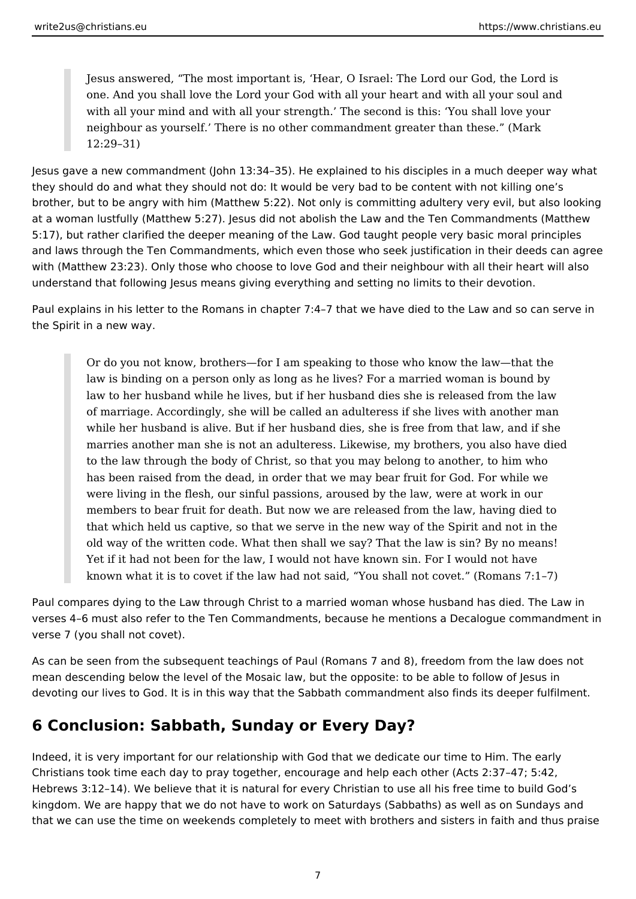Jesus answered, "The most important is, 'Hear, O Israel: The Lord our God, the Lord is one. And you shall love the Lord your God with all your heart and with all your soul and with all your mind and with all your strength.' The second is this: 'You shall love your neighbour as yourself.' There is no other commandment greater than these." (Mark 12:29–31)

Jesus gave a new commandment (John 13:34–35). He explained to his disciples in a much deeper way what they should do and what they should not do: It would be very bad to be content with not killing one's brother, but to be angry with him (Matthew 5:22). Not only is committing adultery very evil, but also looking at a woman lustfully (Matthew 5:27). Jesus did not abolish the Law and the Ten Commandments (Matthew 5:17), but rather clarified the deeper meaning of the Law. God taught people very basic moral principles and laws through the Ten Commandments, which even those who seek justification in their deeds can agree with (Matthew 23:23). Only those who choose to love God and their neighbour with all their heart will also understand that following Jesus means giving everything and setting no limits to their devotion.

Paul explains in his letter to the Romans in chapter 7:4–7 that we have died to the Law and so can serve in the Spirit in a new way.

Or do you not know, brothers—for I am speaking to those who know the law—that the law is binding on a person only as long as he lives? For a married woman is bound by law to her husband while he lives, but if her husband dies she is released from the law of marriage. Accordingly, she will be called an adulteress if she lives with another man while her husband is alive. But if her husband dies, she is free from that law, and if she marries another man she is not an adulteress. Likewise, my brothers, you also have died to the law through the body of Christ, so that you may belong to another, to him who has been raised from the dead, in order that we may bear fruit for God. For while we were living in the flesh, our sinful passions, aroused by the law, were at work in our members to bear fruit for death. But now we are released from the law, having died to that which held us captive, so that we serve in the new way of the Spirit and not in the old way of the written code. What then shall we say? That the law is sin? By no means! Yet if it had not been for the law, I would not have known sin. For I would not have known what it is to covet if the law had not said, "You shall not covet." (Romans 7:1–7)

Paul compares dying to the Law through Christ to a married woman whose husband has died. The Law in verses 4–6 must also refer to the Ten Commandments, because he mentions a Decalogue commandment in verse 7 (you shall not covet).

As can be seen from the subsequent teachings of Paul (Romans 7 and 8), freedom from the law does not mean descending below the level of the Mosaic law, but the opposite: to be able to follow of Jesus in devoting our lives to God. It is in this way that the Sabbath commandment also finds its deeper fulfilment.

### **6 Conclusion: Sabbath, Sunday or Every Day?**

Indeed, it is very important for our relationship with God that we dedicate our time to Him. The early Christians took time each day to pray together, encourage and help each other (Acts 2:37–47; 5:42, Hebrews 3:12–14). We believe that it is natural for every Christian to use all his free time to build God's kingdom. We are happy that we do not have to work on Saturdays (Sabbaths) as well as on Sundays and that we can use the time on weekends completely to meet with brothers and sisters in faith and thus praise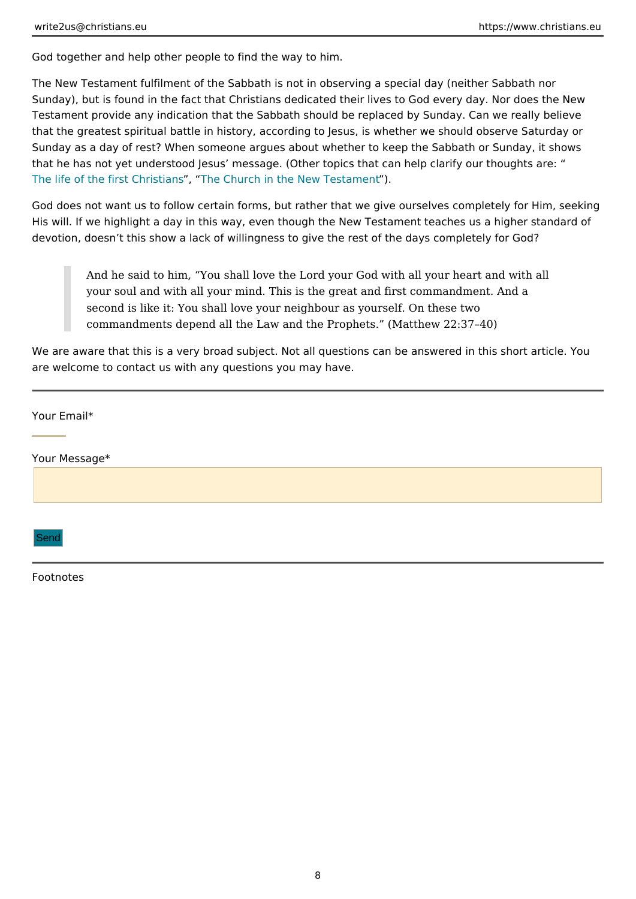God together and help other people to find the way to him.

The New Testament fulfilment of the Sabbath is not in observing a special day (n Sunday), but is found in the fact that Christians dedicated their lives to God eve Testament provide any indication that the Sabbath should be replaced by Sunday that the greatest spiritual battle in history, according to Jesus, is whether we sl Sunday as a day of rest? When someone argues about whether to keep the Sabba that he has not yet understood Jesus message. (Other topics that can help clari [The life of the first](https://www.christians.eu/firstchristians/)  $C_h$ Tibel  $\hat{x}$  march in the New T $\hat{y}$  stament

God does not want us to follow certain forms, but rather that we give ourselves His will. If we highlight a day in this way, even though the New Testament teach devotion, doesn t this show a lack of willingness to give the rest of the days cor

And he said to him, You shall love the Lord your God with all your heart your soul and with all your mind. This is the great and first commandme second is like it: You shall love your neighbour as yourself. On these tw commandments depend all the Law and the Prophets. (Matthew 22:37 40)

We are aware that this is a very broad subject. Not all questions can be answere are welcome to contact us with any questions you may have.

Your Email\*

Your Message\*

Send

Footnotes